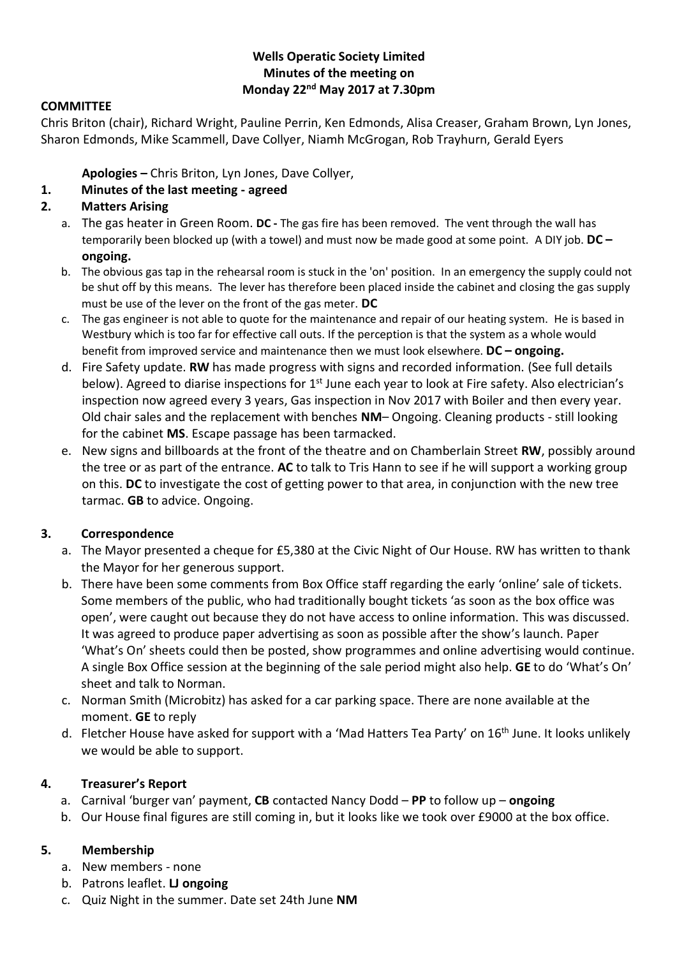## **Wells Operatic Society Limited Minutes of the meeting on Monday 22nd May 2017 at 7.30pm**

### **COMMITTEE**

Chris Briton (chair), Richard Wright, Pauline Perrin, Ken Edmonds, Alisa Creaser, Graham Brown, Lyn Jones, Sharon Edmonds, Mike Scammell, Dave Collyer, Niamh McGrogan, Rob Trayhurn, Gerald Eyers

**Apologies –** Chris Briton, Lyn Jones, Dave Collyer,

## **1. Minutes of the last meeting - agreed**

## **2. Matters Arising**

- a. The gas heater in Green Room. **DC -** The gas fire has been removed. The vent through the wall has temporarily been blocked up (with a towel) and must now be made good at some point. A DIY job. **DC – ongoing.**
- b. The obvious gas tap in the rehearsal room is stuck in the 'on' position. In an emergency the supply could not be shut off by this means. The lever has therefore been placed inside the cabinet and closing the gas supply must be use of the lever on the front of the gas meter. **DC**
- c. The gas engineer is not able to quote for the maintenance and repair of our heating system. He is based in Westbury which is too far for effective call outs. If the perception is that the system as a whole would benefit from improved service and maintenance then we must look elsewhere. **DC – ongoing.**
- d. Fire Safety update. **RW** has made progress with signs and recorded information. (See full details below). Agreed to diarise inspections for 1<sup>st</sup> June each year to look at Fire safety. Also electrician's inspection now agreed every 3 years, Gas inspection in Nov 2017 with Boiler and then every year. Old chair sales and the replacement with benches **NM**– Ongoing. Cleaning products - still looking for the cabinet **MS**. Escape passage has been tarmacked.
- e. New signs and billboards at the front of the theatre and on Chamberlain Street **RW**, possibly around the tree or as part of the entrance. **AC** to talk to Tris Hann to see if he will support a working group on this. **DC** to investigate the cost of getting power to that area, in conjunction with the new tree tarmac. **GB** to advice. Ongoing.

### **3. Correspondence**

- a. The Mayor presented a cheque for £5,380 at the Civic Night of Our House. RW has written to thank the Mayor for her generous support.
- b. There have been some comments from Box Office staff regarding the early 'online' sale of tickets. Some members of the public, who had traditionally bought tickets 'as soon as the box office was open', were caught out because they do not have access to online information. This was discussed. It was agreed to produce paper advertising as soon as possible after the show's launch. Paper 'What's On' sheets could then be posted, show programmes and online advertising would continue. A single Box Office session at the beginning of the sale period might also help. **GE** to do 'What's On' sheet and talk to Norman.
- c. Norman Smith (Microbitz) has asked for a car parking space. There are none available at the moment. **GE** to reply
- d. Fletcher House have asked for support with a 'Mad Hatters Tea Party' on 16<sup>th</sup> June. It looks unlikely we would be able to support.

### **4. Treasurer's Report**

- a. Carnival 'burger van' payment, **CB** contacted Nancy Dodd **PP** to follow up **ongoing**
- b. Our House final figures are still coming in, but it looks like we took over £9000 at the box office.

### **5. Membership**

- a. New members none
- b. Patrons leaflet. **LJ ongoing**
- c. Quiz Night in the summer. Date set 24th June **NM**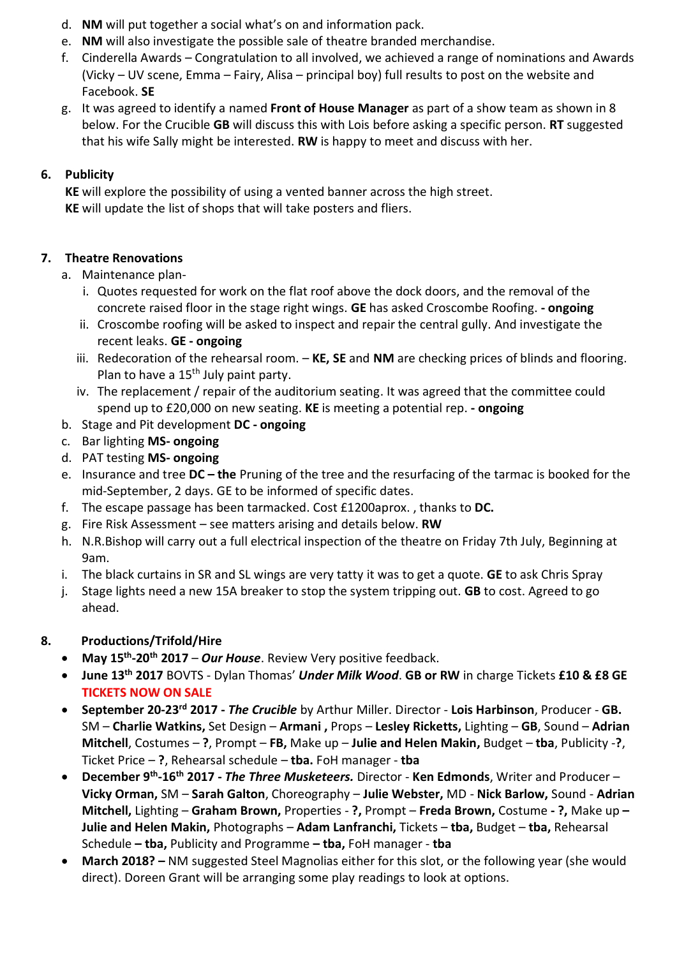- d. **NM** will put together a social what's on and information pack.
- e. **NM** will also investigate the possible sale of theatre branded merchandise.
- f. Cinderella Awards Congratulation to all involved, we achieved a range of nominations and Awards (Vicky – UV scene, Emma – Fairy, Alisa – principal boy) full results to post on the website and Facebook. **SE**
- g. It was agreed to identify a named **Front of House Manager** as part of a show team as shown in 8 below. For the Crucible **GB** will discuss this with Lois before asking a specific person. **RT** suggested that his wife Sally might be interested. **RW** is happy to meet and discuss with her.

# **6. Publicity**

**KE** will explore the possibility of using a vented banner across the high street. **KE** will update the list of shops that will take posters and fliers.

# **7. Theatre Renovations**

- a. Maintenance plan
	- i. Quotes requested for work on the flat roof above the dock doors, and the removal of the concrete raised floor in the stage right wings. **GE** has asked Croscombe Roofing. **- ongoing**
	- ii. Croscombe roofing will be asked to inspect and repair the central gully. And investigate the recent leaks. **GE - ongoing**
	- iii. Redecoration of the rehearsal room. **KE, SE** and **NM** are checking prices of blinds and flooring. Plan to have a  $15<sup>th</sup>$  July paint party.
	- iv. The replacement / repair of the auditorium seating. It was agreed that the committee could spend up to £20,000 on new seating. **KE** is meeting a potential rep. **- ongoing**
- b. Stage and Pit development **DC - ongoing**
- c. Bar lighting **MS- ongoing**
- d. PAT testing **MS- ongoing**
- e. Insurance and tree **DC – the** Pruning of the tree and the resurfacing of the tarmac is booked for the mid-September, 2 days. GE to be informed of specific dates.
- f. The escape passage has been tarmacked. Cost £1200aprox. , thanks to **DC.**
- g. Fire Risk Assessment see matters arising and details below. **RW**
- h. N.R.Bishop will carry out a full electrical inspection of the theatre on Friday 7th July, Beginning at 9am.
- i. The black curtains in SR and SL wings are very tatty it was to get a quote. **GE** to ask Chris Spray
- j. Stage lights need a new 15A breaker to stop the system tripping out. **GB** to cost. Agreed to go ahead.

# **8. Productions/Trifold/Hire**

- **May 15th -20th 2017**  *Our House*. Review Very positive feedback.
- **June 13th 2017** BOVTS Dylan Thomas' *Under Milk Wood*. **GB or RW** in charge Tickets **£10 & £8 GE TICKETS NOW ON SALE**
- **September 20-23rd 2017 -** *The Crucible* by Arthur Miller. Director **Lois Harbinson**, Producer **GB.**  SM – **Charlie Watkins,** Set Design – **Armani ,** Props – **Lesley Ricketts,** Lighting – **GB**, Sound – **Adrian Mitchell**, Costumes – **?**, Prompt – **FB,** Make up – **Julie and Helen Makin,** Budget – **tba**, Publicity -**?**, Ticket Price – **?**, Rehearsal schedule – **tba.** FoH manager - **tba**
- **December 9th -16th 2017 -** *The Three Musketeers.* Director **Ken Edmonds**, Writer and Producer **Vicky Orman,** SM – **Sarah Galton**, Choreography – **Julie Webster,** MD - **Nick Barlow,** Sound - **Adrian Mitchell,** Lighting – **Graham Brown,** Properties - **?,** Prompt – **Freda Brown,** Costume **- ?,** Make up **– Julie and Helen Makin,** Photographs – **Adam Lanfranchi,** Tickets – **tba,** Budget – **tba,** Rehearsal Schedule **– tba,** Publicity and Programme **– tba,** FoH manager - **tba**
- **March 2018? –** NM suggested Steel Magnolias either for this slot, or the following year (she would direct). Doreen Grant will be arranging some play readings to look at options.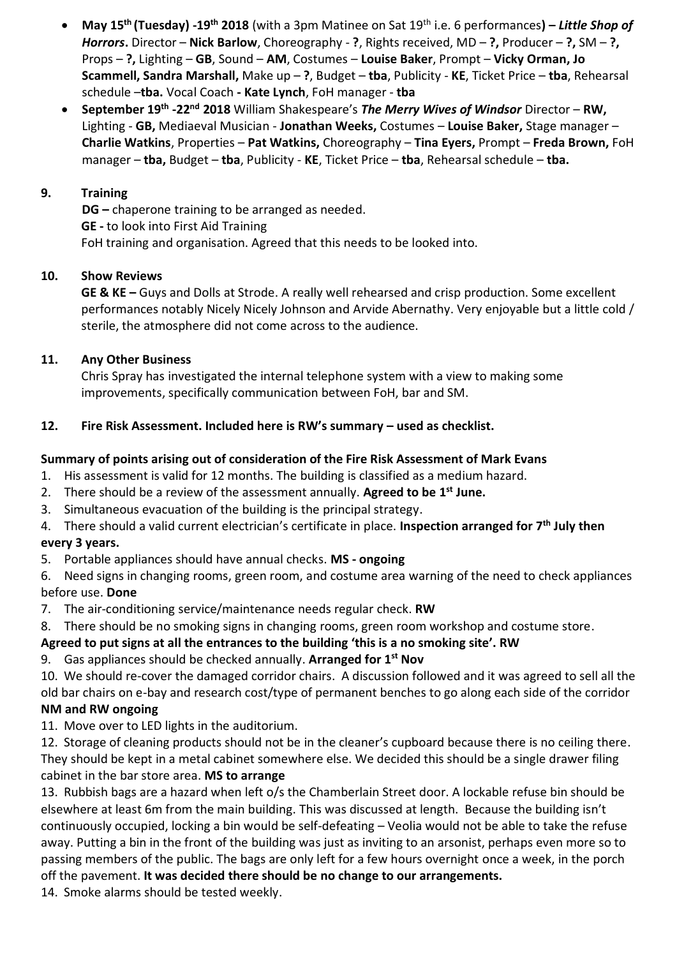- **May 15th (Tuesday) -19th 2018** (with a 3pm Matinee on Sat 19th i.e. 6 performances**) –** *Little Shop of Horrors***.** Director – **Nick Barlow**, Choreography - **?**, Rights received, MD – **?,** Producer – **?,** SM – **?,**  Props – **?,** Lighting – **GB**, Sound – **AM**, Costumes – **Louise Baker**, Prompt – **Vicky Orman, Jo Scammell, Sandra Marshall,** Make up – **?**, Budget – **tba**, Publicity - **KE**, Ticket Price – **tba**, Rehearsal schedule –**tba.** Vocal Coach **- Kate Lynch**, FoH manager - **tba**
- **September 19th -22nd 2018** William Shakespeare's *The Merry Wives of Windsor* Director **RW,**  Lighting - **GB,** Mediaeval Musician - **Jonathan Weeks,** Costumes – **Louise Baker,** Stage manager – **Charlie Watkins**, Properties – **Pat Watkins,** Choreography – **Tina Eyers,** Prompt – **Freda Brown,** FoH manager – **tba,** Budget – **tba**, Publicity - **KE**, Ticket Price – **tba**, Rehearsal schedule – **tba.**

### **9. Training**

**DG –** chaperone training to be arranged as needed. **GE -** to look into First Aid Training FoH training and organisation. Agreed that this needs to be looked into.

### **10. Show Reviews**

**GE & KE –** Guys and Dolls at Strode. A really well rehearsed and crisp production. Some excellent performances notably Nicely Nicely Johnson and Arvide Abernathy. Very enjoyable but a little cold / sterile, the atmosphere did not come across to the audience.

## **11. Any Other Business**

Chris Spray has investigated the internal telephone system with a view to making some improvements, specifically communication between FoH, bar and SM.

## **12. Fire Risk Assessment. Included here is RW's summary – used as checklist.**

## **Summary of points arising out of consideration of the Fire Risk Assessment of Mark Evans**

- 1. His assessment is valid for 12 months. The building is classified as a medium hazard.
- 2. There should be a review of the assessment annually. **Agreed to be 1st June.**
- 3. Simultaneous evacuation of the building is the principal strategy.
- 4. There should a valid current electrician's certificate in place. **Inspection arranged for 7th July then every 3 years.**
- 5. Portable appliances should have annual checks. **MS - ongoing**

6. Need signs in changing rooms, green room, and costume area warning of the need to check appliances before use. **Done**

- 7. The air-conditioning service/maintenance needs regular check. **RW**
- 8. There should be no smoking signs in changing rooms, green room workshop and costume store.

# **Agreed to put signs at all the entrances to the building 'this is a no smoking site'. RW**

9. Gas appliances should be checked annually. **Arranged for 1st Nov**

10. We should re-cover the damaged corridor chairs. A discussion followed and it was agreed to sell all the

old bar chairs on e-bay and research cost/type of permanent benches to go along each side of the corridor **NM and RW ongoing**

11. Move over to LED lights in the auditorium.

12. Storage of cleaning products should not be in the cleaner's cupboard because there is no ceiling there. They should be kept in a metal cabinet somewhere else. We decided this should be a single drawer filing cabinet in the bar store area. **MS to arrange**

13. Rubbish bags are a hazard when left o/s the Chamberlain Street door. A lockable refuse bin should be elsewhere at least 6m from the main building. This was discussed at length. Because the building isn't continuously occupied, locking a bin would be self-defeating – Veolia would not be able to take the refuse away. Putting a bin in the front of the building was just as inviting to an arsonist, perhaps even more so to passing members of the public. The bags are only left for a few hours overnight once a week, in the porch off the pavement. **It was decided there should be no change to our arrangements.**

14. Smoke alarms should be tested weekly.